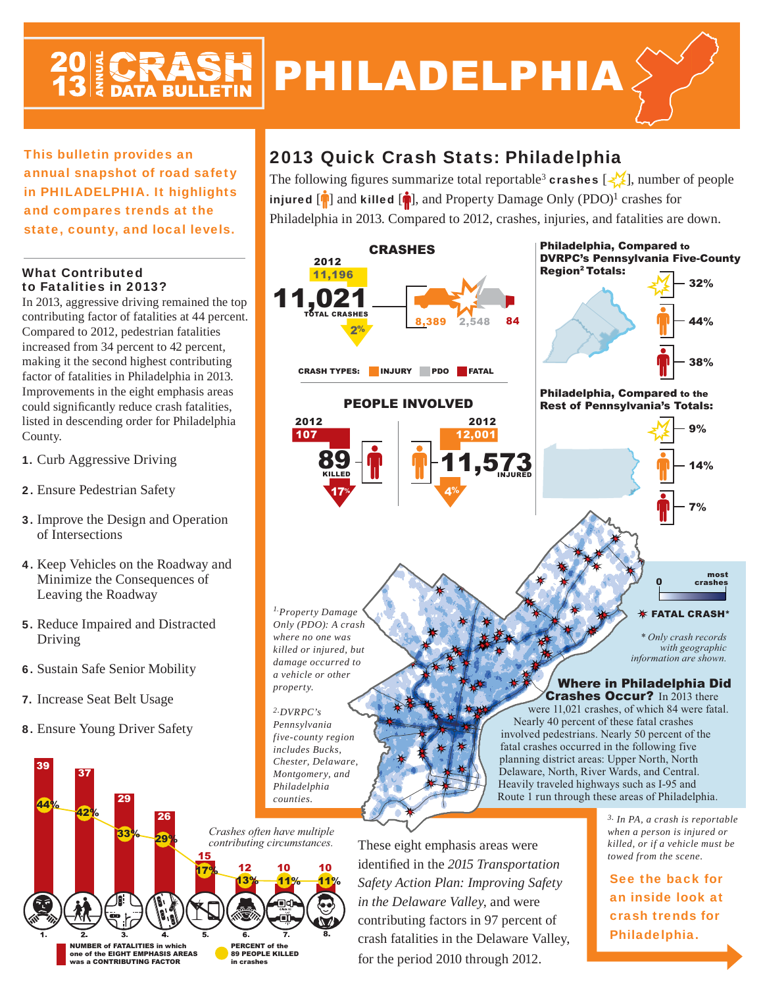## PHILADELPHIA

This bulletin provides an annual snapshot of road safety in PHILADELPHIA. It highlights and compares trends at the state, county, and local levels.

## What Contributed to Fatalities in 2013?

In 2013, aggressive driving remained the top contributing factor of fatalities at 44 percent. Compared to 2012, pedestrian fatalities increased from 34 percent to 42 percent, making it the second highest contributing factor of fatalities in Philadelphia in 2013. Improvements in the eight emphasis areas could significantly reduce crash fatalities, listed in descending order for Philadelphia County.

- 1. Curb Aggressive Driving
- 2. Ensure Pedestrian Safety
- 3. Improve the Design and Operation of Intersections
- 4. Keep Vehicles on the Roadway and Minimize the Consequences of Leaving the Roadway
- 5. Reduce Impaired and Distracted Driving
- 6. Sustain Safe Senior Mobility
- 7. Increase Seat Belt Usage
- 8. Ensure Young Driver Safety



## 2013 Quick Crash Stats: Philadelphia

The following figures summarize total reportable<sup>3</sup> crashes  $\left[\frac{1}{2}\right]$ , number of people injured  $[\hat{\mathbf{r}}]$  and killed  $[\hat{\mathbf{r}}]$ , and Property Damage Only (PDO)<sup>1</sup> crashes for Philadelphia in 2013. Compared to 2012, crashes, injuries, and fatalities are down.



These eight emphasis areas were identified in the 2015 Transportation *Safety Action Plan: Improving Safety in the Delaware Valley*, and were contributing factors in 97 percent of crash fatalities in the Delaware Valley, for the period 2010 through 2012.

*3. In PA, a crash is reportable when a person is injured or killed, or if a vehicle must be towed from the scene.*

See the back for an inside look at crash trends for Philadelphia.